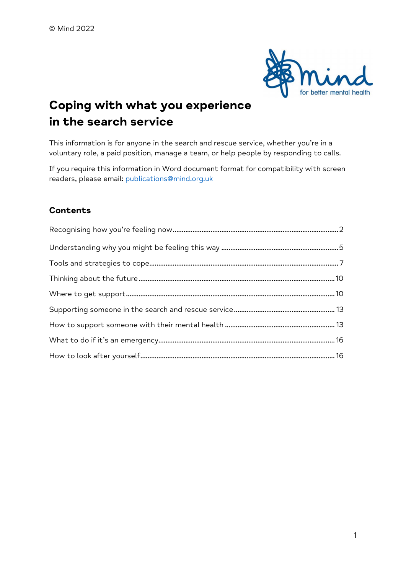

# Coping with what you experience in the search service

This information is for anyone in the search and rescue service, whether you're in a voluntary role, a paid position, manage a team, or help people by responding to calls.

If you require this information in Word document format for compatibility with screen readers, please email: publications@mind.org.uk

# **Contents**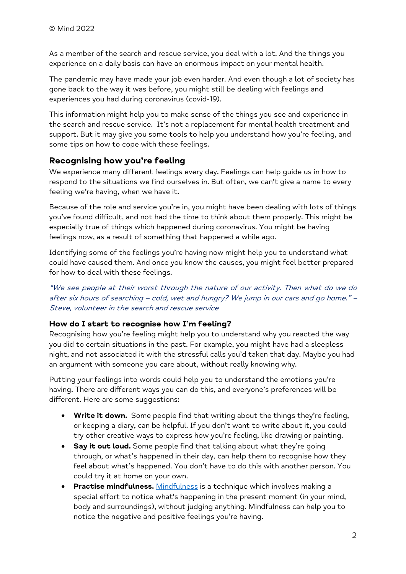As a member of the search and rescue service, you deal with a lot. And the things you experience on a daily basis can have an enormous impact on your mental health.

The pandemic may have made your job even harder. And even though a lot of society has gone back to the way it was before, you might still be dealing with feelings and experiences you had during coronavirus (covid-19).

This information might help you to make sense of the things you see and experience in the search and rescue service. It's not a replacement for mental health treatment and support. But it may give you some tools to help you understand how you're feeling, and some tips on how to cope with these feelings.

# Recognising how you're feeling

We experience many different feelings every day. Feelings can help guide us in how to respond to the situations we find ourselves in. But often, we can't give a name to every feeling we're having, when we have it.

Because of the role and service you're in, you might have been dealing with lots of things you've found difficult, and not had the time to think about them properly. This might be especially true of things which happened during coronavirus. You might be having feelings now, as a result of something that happened a while ago.

Identifying some of the feelings you're having now might help you to understand what could have caused them. And once you know the causes, you might feel better prepared for how to deal with these feelings.

"We see people at their worst through the nature of our activity. Then what do we do after six hours of searching – cold, wet and hungry? We jump in our cars and go home." – Steve, volunteer in the search and rescue service

#### How do I start to recognise how I'm feeling?

Recognising how you're feeling might help you to understand why you reacted the way you did to certain situations in the past. For example, you might have had a sleepless night, and not associated it with the stressful calls you'd taken that day. Maybe you had an argument with someone you care about, without really knowing why.

Putting your feelings into words could help you to understand the emotions you're having. There are different ways you can do this, and everyone's preferences will be different. Here are some suggestions:

- Write it down. Some people find that writing about the things they're feeling, or keeping a diary, can be helpful. If you don't want to write about it, you could try other creative ways to express how you're feeling, like drawing or painting.
- Say it out loud. Some people find that talking about what they're going through, or what's happened in their day, can help them to recognise how they feel about what's happened. You don't have to do this with another person. You could try it at home on your own.
- **Practise mindfulness.** Mindfulness is a technique which involves making a special effort to notice what's happening in the present moment (in your mind, body and surroundings), without judging anything. Mindfulness can help you to notice the negative and positive feelings you're having.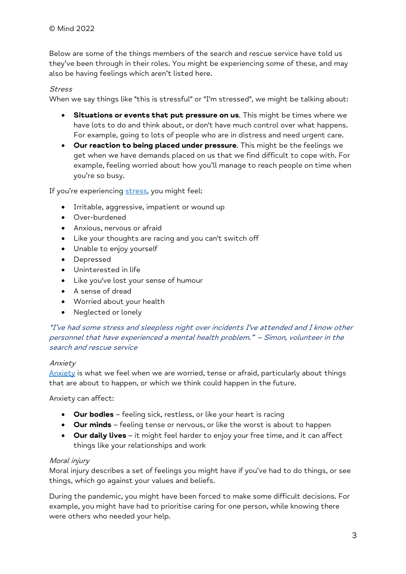Below are some of the things members of the search and rescue service have told us they've been through in their roles. You might be experiencing some of these, and may also be having feelings which aren't listed here.

#### Stress

When we say things like "this is stressful" or "I'm stressed", we might be talking about:

- Situations or events that put pressure on us. This might be times where we have lots to do and think about, or don't have much control over what happens. For example, going to lots of people who are in distress and need urgent care.
- Our reaction to being placed under pressure. This might be the feelings we get when we have demands placed on us that we find difficult to cope with. For example, feeling worried about how you'll manage to reach people on time when you're so busy.

If you're experiencing stress, you might feel:

- Irritable, aggressive, impatient or wound up
- Over-burdened
- Anxious, nervous or afraid
- Like your thoughts are racing and you can't switch off
- Unable to enjoy yourself
- Depressed
- Uninterested in life
- Like you've lost your sense of humour
- A sense of dread
- Worried about your health
- Neglected or lonely

"I've had some stress and sleepless night over incidents I've attended and I know other personnel that have experienced a mental health problem." – Simon, volunteer in the search and rescue service

#### Anxiety

Anxiety is what we feel when we are worried, tense or afraid, particularly about things that are about to happen, or which we think could happen in the future.

Anxiety can affect:

- **Our bodies** feeling sick, restless, or like your heart is racing
- **•** Our minds feeling tense or nervous, or like the worst is about to happen
- Our daily lives it might feel harder to enjoy your free time, and it can affect things like your relationships and work

#### Moral injury

Moral injury describes a set of feelings you might have if you've had to do things, or see things, which go against your values and beliefs.

During the pandemic, you might have been forced to make some difficult decisions. For example, you might have had to prioritise caring for one person, while knowing there were others who needed your help.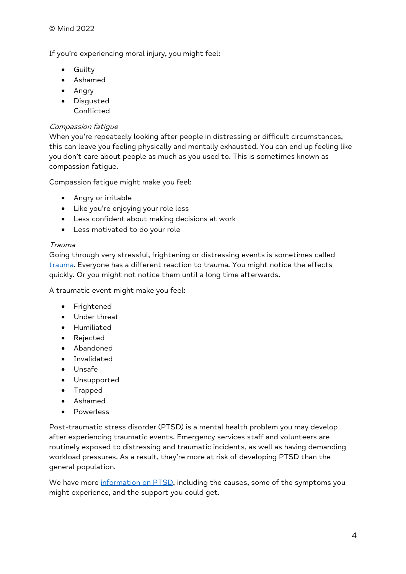If you're experiencing moral injury, you might feel:

- **•** Guilty
- Ashamed
- Angry
- Disgusted Conflicted

#### Compassion fatigue

When you're repeatedly looking after people in distressing or difficult circumstances, this can leave you feeling physically and mentally exhausted. You can end up feeling like you don't care about people as much as you used to. This is sometimes known as compassion fatigue.

Compassion fatigue might make you feel:

- Angry or irritable
- Like you're enjoying your role less
- Less confident about making decisions at work
- Less motivated to do your role

#### Trauma

Going through very stressful, frightening or distressing events is sometimes called trauma. Everyone has a different reaction to trauma. You might notice the effects quickly. Or you might not notice them until a long time afterwards.

A traumatic event might make you feel:

- **•** Frightened
- Under threat
- Humiliated
- Rejected
- Abandoned
- Invalidated
- Unsafe
- Unsupported
- Trapped
- Ashamed
- Powerless

Post-traumatic stress disorder (PTSD) is a mental health problem you may develop after experiencing traumatic events. Emergency services staff and volunteers are routinely exposed to distressing and traumatic incidents, as well as having demanding workload pressures. As a result, they're more at risk of developing PTSD than the general population.

We have more information on PTSD, including the causes, some of the symptoms you might experience, and the support you could get.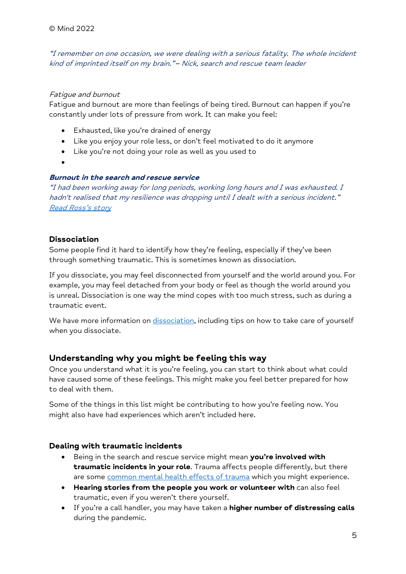"I remember on one occasion, we were dealing with a serious fatality. The whole incident kind of imprinted itself on my brain." – Nick, search and rescue team leader

#### Fatigue and burnout

Fatigue and burnout are more than feelings of being tired. Burnout can happen if you're constantly under lots of pressure from work. It can make you feel:

- Exhausted, like you're drained of energy
- Like you enjoy your role less, or don't feel motivated to do it anymore
- Like you're not doing your role as well as you used to
- $\bullet$

#### Burnout in the search and rescue service

"I had been working away for long periods, working long hours and I was exhausted. I hadn't realised that my resilience was dropping until I dealt with a serious incident." Read Ross's story

#### Dissociation

Some people find it hard to identify how they're feeling, especially if they've been through something traumatic. This is sometimes known as dissociation.

If you dissociate, you may feel disconnected from yourself and the world around you. For example, you may feel detached from your body or feel as though the world around you is unreal. Dissociation is one way the mind copes with too much stress, such as during a traumatic event.

We have more information on dissociation, including tips on how to take care of yourself when you dissociate.

# Understanding why you might be feeling this way

Once you understand what it is you're feeling, you can start to think about what could have caused some of these feelings. This might make you feel better prepared for how to deal with them.

Some of the things in this list might be contributing to how you're feeling now. You might also have had experiences which aren't included here.

#### Dealing with traumatic incidents

- Being in the search and rescue service might mean you're involved with traumatic incidents in your role. Trauma affects people differently, but there are some common mental health effects of trauma which you might experience.
- Hearing stories from the people you work or volunteer with can also feel traumatic, even if you weren't there yourself.
- If you're a call handler, you may have taken a higher number of distressing calls during the pandemic.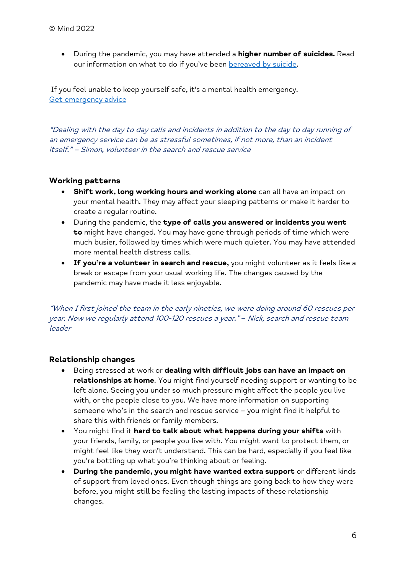• During the pandemic, you may have attended a **higher number of suicides.** Read our information on what to do if you've been bereaved by suicide.

If you feel unable to keep yourself safe, it's a mental health emergency. Get emergency advice

"Dealing with the day to day calls and incidents in addition to the day to day running of an emergency service can be as stressful sometimes, if not more, than an incident itself." – Simon, volunteer in the search and rescue service

#### Working patterns

- Shift work, long working hours and working alone can all have an impact on your mental health. They may affect your sleeping patterns or make it harder to create a regular routine.
- During the pandemic, the type of calls you answered or incidents you went to might have changed. You may have gone through periods of time which were much busier, followed by times which were much quieter. You may have attended more mental health distress calls.
- **.** If you're a volunteer in search and rescue, you might volunteer as it feels like a break or escape from your usual working life. The changes caused by the pandemic may have made it less enjoyable.

"When I first joined the team in the early nineties, we were doing around 60 rescues per year. Now we regularly attend 100-120 rescues a year." – Nick, search and rescue team leader

#### Relationship changes

- **•** Being stressed at work or **dealing with difficult jobs can have an impact on** relationships at home. You might find yourself needing support or wanting to be left alone. Seeing you under so much pressure might affect the people you live with, or the people close to you. We have more information on supporting someone who's in the search and rescue service – you might find it helpful to share this with friends or family members.
- You might find it hard to talk about what happens during your shifts with your friends, family, or people you live with. You might want to protect them, or might feel like they won't understand. This can be hard, especially if you feel like you're bottling up what you're thinking about or feeling.
- During the pandemic, you might have wanted extra support or different kinds of support from loved ones. Even though things are going back to how they were before, you might still be feeling the lasting impacts of these relationship changes.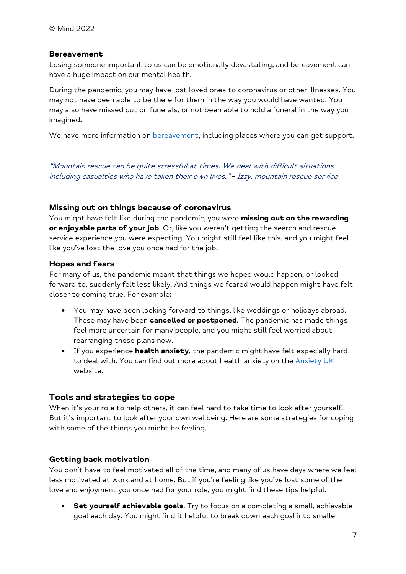#### **Bereavement**

Losing someone important to us can be emotionally devastating, and bereavement can have a huge impact on our mental health.

During the pandemic, you may have lost loved ones to coronavirus or other illnesses. You may not have been able to be there for them in the way you would have wanted. You may also have missed out on funerals, or not been able to hold a funeral in the way you imagined.

We have more information on **bereavement**, including places where you can get support.

"Mountain rescue can be quite stressful at times. We deal with difficult situations including casualties who have taken their own lives." – Izzy, mountain rescue service

#### Missing out on things because of coronavirus

You might have felt like during the pandemic, you were missing out on the rewarding or enjoyable parts of your job. Or, like you weren't getting the search and rescue service experience you were expecting. You might still feel like this, and you might feel like you've lost the love you once had for the job.

#### Hopes and fears

For many of us, the pandemic meant that things we hoped would happen, or looked forward to, suddenly felt less likely. And things we feared would happen might have felt closer to coming true. For example:

- You may have been looking forward to things, like weddings or holidays abroad. These may have been **cancelled or postponed**. The pandemic has made things feel more uncertain for many people, and you might still feel worried about rearranging these plans now.
- If you experience **health anxiety**, the pandemic might have felt especially hard to deal with. You can find out more about health anxiety on the Anxiety UK website.

#### Tools and strategies to cope

When it's your role to help others, it can feel hard to take time to look after yourself. But it's important to look after your own wellbeing. Here are some strategies for coping with some of the things you might be feeling.

#### Getting back motivation

You don't have to feel motivated all of the time, and many of us have days where we feel less motivated at work and at home. But if you're feeling like you've lost some of the love and enjoyment you once had for your role, you might find these tips helpful.

• Set yourself achievable goals. Try to focus on a completing a small, achievable goal each day. You might find it helpful to break down each goal into smaller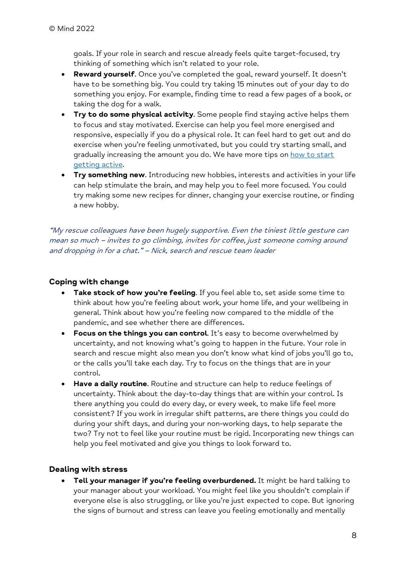goals. If your role in search and rescue already feels quite target-focused, try thinking of something which isn't related to your role.

- Reward yourself. Once you've completed the goal, reward yourself. It doesn't have to be something big. You could try taking 15 minutes out of your day to do something you enjoy. For example, finding time to read a few pages of a book, or taking the dog for a walk.
- **Try to do some physical activity**. Some people find staying active helps them to focus and stay motivated. Exercise can help you feel more energised and responsive, especially if you do a physical role. It can feel hard to get out and do exercise when you're feeling unmotivated, but you could try starting small, and gradually increasing the amount you do. We have more tips on how to start getting active.
- **Try something new.** Introducing new hobbies, interests and activities in your life can help stimulate the brain, and may help you to feel more focused. You could try making some new recipes for dinner, changing your exercise routine, or finding a new hobby.

"My rescue colleagues have been hugely supportive. Even the tiniest little gesture can mean so much – invites to go climbing, invites for coffee, just someone coming around and dropping in for a chat." – Nick, search and rescue team leader

#### Coping with change

- Take stock of how you're feeling. If you feel able to, set aside some time to think about how you're feeling about work, your home life, and your wellbeing in general. Think about how you're feeling now compared to the middle of the pandemic, and see whether there are differences.
- Focus on the things you can control. It's easy to become overwhelmed by uncertainty, and not knowing what's going to happen in the future. Your role in search and rescue might also mean you don't know what kind of jobs you'll go to, or the calls you'll take each day. Try to focus on the things that are in your control.
- Have a daily routine. Routine and structure can help to reduce feelings of uncertainty. Think about the day-to-day things that are within your control. Is there anything you could do every day, or every week, to make life feel more consistent? If you work in irregular shift patterns, are there things you could do during your shift days, and during your non-working days, to help separate the two? Try not to feel like your routine must be rigid. Incorporating new things can help you feel motivated and give you things to look forward to.

#### Dealing with stress

Tell your manager if you're feeling overburdened. It might be hard talking to your manager about your workload. You might feel like you shouldn't complain if everyone else is also struggling, or like you're just expected to cope. But ignoring the signs of burnout and stress can leave you feeling emotionally and mentally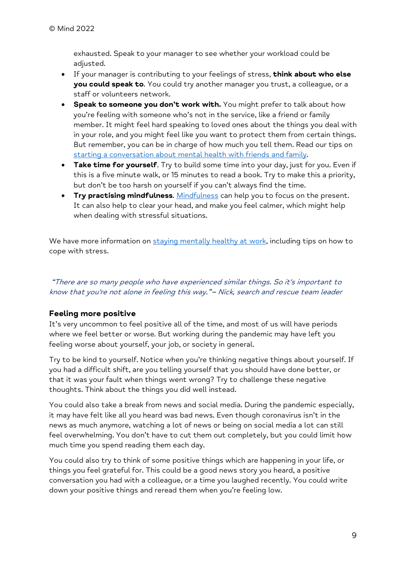exhausted. Speak to your manager to see whether your workload could be adjusted.

- If your manager is contributing to your feelings of stress, think about who else you could speak to. You could try another manager you trust, a colleague, or a staff or volunteers network.
- Speak to someone you don't work with. You might prefer to talk about how you're feeling with someone who's not in the service, like a friend or family member. It might feel hard speaking to loved ones about the things you deal with in your role, and you might feel like you want to protect them from certain things. But remember, you can be in charge of how much you tell them. Read our tips on starting a conversation about mental health with friends and family.
- Take time for yourself. Try to build some time into your day, just for you. Even if this is a five minute walk, or 15 minutes to read a book. Try to make this a priority, but don't be too harsh on yourself if you can't always find the time.
- **Try practising mindfulness.** Mindfulness can help you to focus on the present. It can also help to clear your head, and make you feel calmer, which might help when dealing with stressful situations.

We have more information on staying mentally healthy at work, including tips on how to cope with stress.

 "There are so many people who have experienced similar things. So it's important to know that you're not alone in feeling this way." – Nick, search and rescue team leader

# Feeling more positive

It's very uncommon to feel positive all of the time, and most of us will have periods where we feel better or worse. But working during the pandemic may have left you feeling worse about yourself, your job, or society in general.

Try to be kind to yourself. Notice when you're thinking negative things about yourself. If you had a difficult shift, are you telling yourself that you should have done better, or that it was your fault when things went wrong? Try to challenge these negative thoughts. Think about the things you did well instead.

You could also take a break from news and social media. During the pandemic especially, it may have felt like all you heard was bad news. Even though coronavirus isn't in the news as much anymore, watching a lot of news or being on social media a lot can still feel overwhelming. You don't have to cut them out completely, but you could limit how much time you spend reading them each day.

You could also try to think of some positive things which are happening in your life, or things you feel grateful for. This could be a good news story you heard, a positive conversation you had with a colleague, or a time you laughed recently. You could write down your positive things and reread them when you're feeling low.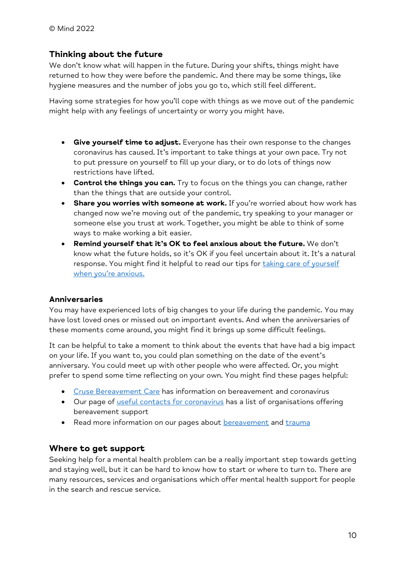# Thinking about the future

We don't know what will happen in the future. During your shifts, things might have returned to how they were before the pandemic. And there may be some things, like hygiene measures and the number of jobs you go to, which still feel different.

Having some strategies for how you'll cope with things as we move out of the pandemic might help with any feelings of uncertainty or worry you might have.

- **Give yourself time to adjust.** Everyone has their own response to the changes coronavirus has caused. It's important to take things at your own pace. Try not to put pressure on yourself to fill up your diary, or to do lots of things now restrictions have lifted.
- Control the things you can. Try to focus on the things you can change, rather than the things that are outside your control.
- Share you worries with someone at work. If you're worried about how work has changed now we're moving out of the pandemic, try speaking to your manager or someone else you trust at work. Together, you might be able to think of some ways to make working a bit easier.
- Remind yourself that it's OK to feel anxious about the future. We don't know what the future holds, so it's OK if you feel uncertain about it. It's a natural response. You might find it helpful to read our tips for taking care of yourself when you're anxious.

#### Anniversaries

You may have experienced lots of big changes to your life during the pandemic. You may have lost loved ones or missed out on important events. And when the anniversaries of these moments come around, you might find it brings up some difficult feelings.

It can be helpful to take a moment to think about the events that have had a big impact on your life. If you want to, you could plan something on the date of the event's anniversary. You could meet up with other people who were affected. Or, you might prefer to spend some time reflecting on your own. You might find these pages helpful:

- Cruse Bereavement Care has information on bereavement and coronavirus
- Our page of useful contacts for coronavirus has a list of organisations offering bereavement support
- Read more information on our pages about bereavement and trauma

#### Where to get support

Seeking help for a mental health problem can be a really important step towards getting and staying well, but it can be hard to know how to start or where to turn to. There are many resources, services and organisations which offer mental health support for people in the search and rescue service.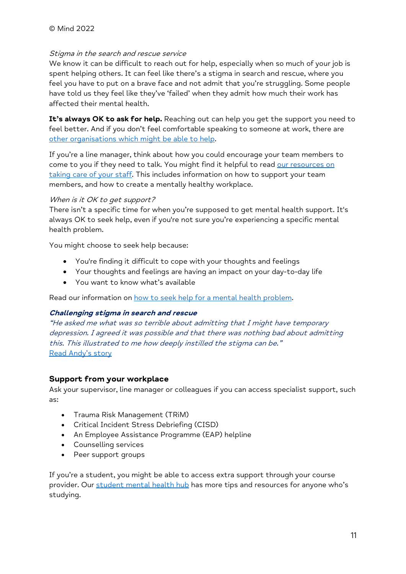#### Stigma in the search and rescue service

We know it can be difficult to reach out for help, especially when so much of your job is spent helping others. It can feel like there's a stigma in search and rescue, where you feel you have to put on a brave face and not admit that you're struggling. Some people have told us they feel like they've 'failed' when they admit how much their work has affected their mental health.

It's always OK to ask for help. Reaching out can help you get the support you need to feel better. And if you don't feel comfortable speaking to someone at work, there are other organisations which might be able to help.

If you're a line manager, think about how you could encourage your team members to come to you if they need to talk. You might find it helpful to read our resources on taking care of your staff. This includes information on how to support your team members, and how to create a mentally healthy workplace.

#### When is it OK to get support?

There isn't a specific time for when you're supposed to get mental health support. It's always OK to seek help, even if you're not sure you're experiencing a specific mental health problem.

You might choose to seek help because:

- You're finding it difficult to cope with your thoughts and feelings
- Your thoughts and feelings are having an impact on your day-to-day life
- You want to know what's available

Read our information on how to seek help for a mental health problem.

#### Challenging stigma in search and rescue

"He asked me what was so terrible about admitting that I might have temporary depression. I agreed it was possible and that there was nothing bad about admitting this. This illustrated to me how deeply instilled the stigma can be." Read Andy's story

#### Support from your workplace

Ask your supervisor, line manager or colleagues if you can access specialist support, such as:

- Trauma Risk Management (TRiM)
- Critical Incident Stress Debriefing (CISD)
- An Employee Assistance Programme (EAP) helpline
- Counselling services
- Peer support groups

If you're a student, you might be able to access extra support through your course provider. Our student mental health hub has more tips and resources for anyone who's studying.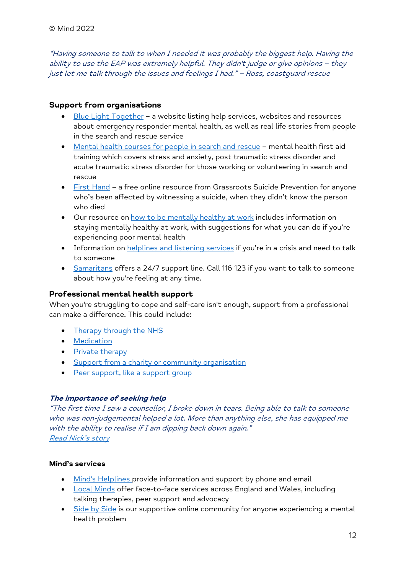"Having someone to talk to when I needed it was probably the biggest help. Having the ability to use the EAP was extremely helpful. They didn't judge or give opinions – they just let me talk through the issues and feelings I had." – Ross, coastguard rescue

## Support from organisations

- Blue Light Together a website listing help services, websites and resources about emergency responder mental health, as well as real life stories from people in the search and rescue service
- Mental health courses for people in search and rescue mental health first aid training which covers stress and anxiety, post traumatic stress disorder and acute traumatic stress disorder for those working or volunteering in search and rescue
- First Hand a free online resource from Grassroots Suicide Prevention for anyone who's been affected by witnessing a suicide, when they didn't know the person who died
- Our resource on how to be mentally healthy at work includes information on staying mentally healthy at work, with suggestions for what you can do if you're experiencing poor mental health
- Information on helplines and listening services if you're in a crisis and need to talk to someone
- Samaritans offers a 24/7 support line. Call 116 123 if you want to talk to someone about how you're feeling at any time.

#### Professional mental health support

When you're struggling to cope and self-care isn't enough, support from a professional can make a difference. This could include:

- Therapy through the NHS
- **•** Medication
- Private therapy
- Support from a charity or community organisation
- Peer support, like a support group

#### The importance of seeking help

"The first time I saw a counsellor, I broke down in tears. Being able to talk to someone who was non-judgemental helped a lot. More than anything else, she has equipped me with the ability to realise if I am dipping back down again." Read Nick's story

#### Mind's services

- Mind's Helplines provide information and support by phone and email
- Local Minds offer face-to-face services across England and Wales, including talking therapies, peer support and advocacy
- Side by Side is our supportive online community for anyone experiencing a mental health problem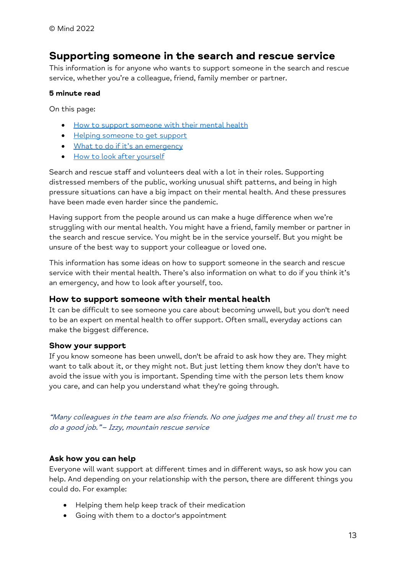# Supporting someone in the search and rescue service

This information is for anyone who wants to support someone in the search and rescue service, whether you're a colleague, friend, family member or partner.

#### 5 minute read

On this page:

- How to support someone with their mental health
- Helping someone to get support
- What to do if it's an emergency
- How to look after yourself

Search and rescue staff and volunteers deal with a lot in their roles. Supporting distressed members of the public, working unusual shift patterns, and being in high pressure situations can have a big impact on their mental health. And these pressures have been made even harder since the pandemic.

Having support from the people around us can make a huge difference when we're struggling with our mental health. You might have a friend, family member or partner in the search and rescue service. You might be in the service yourself. But you might be unsure of the best way to support your colleague or loved one.

This information has some ideas on how to support someone in the search and rescue service with their mental health. There's also information on what to do if you think it's an emergency, and how to look after yourself, too.

#### How to support someone with their mental health

It can be difficult to see someone you care about becoming unwell, but you don't need to be an expert on mental health to offer support. Often small, everyday actions can make the biggest difference.

#### Show your support

If you know someone has been unwell, don't be afraid to ask how they are. They might want to talk about it, or they might not. But just letting them know they don't have to avoid the issue with you is important. Spending time with the person lets them know you care, and can help you understand what they're going through.

"Many colleagues in the team are also friends. No one judges me and they all trust me to do a good job." – Izzy, mountain rescue service

#### Ask how you can help

Everyone will want support at different times and in different ways, so ask how you can help. And depending on your relationship with the person, there are different things you could do. For example:

- Helping them help keep track of their medication
- Going with them to a doctor's appointment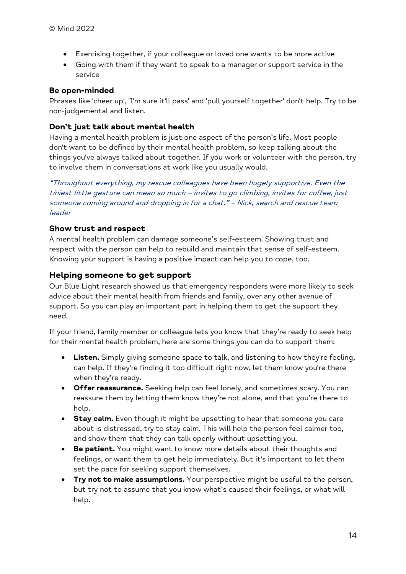- Exercising together, if your colleague or loved one wants to be more active
- Going with them if they want to speak to a manager or support service in the service

#### Be open-minded

Phrases like 'cheer up', 'I'm sure it'll pass' and 'pull yourself together' don't help. Try to be non-judgemental and listen.

# Don't just talk about mental health

Having a mental health problem is just one aspect of the person's life. Most people don't want to be defined by their mental health problem, so keep talking about the things you've always talked about together. If you work or volunteer with the person, try to involve them in conversations at work like you usually would.

"Throughout everything, my rescue colleagues have been hugely supportive. Even the tiniest little gesture can mean so much – invites to go climbing, invites for coffee, just someone coming around and dropping in for a chat." – Nick, search and rescue team leader

## Show trust and respect

A mental health problem can damage someone's self-esteem. Showing trust and respect with the person can help to rebuild and maintain that sense of self-esteem. Knowing your support is having a positive impact can help you to cope, too.

# Helping someone to get support

Our Blue Light research showed us that emergency responders were more likely to seek advice about their mental health from friends and family, over any other avenue of support. So you can play an important part in helping them to get the support they need.

If your friend, family member or colleague lets you know that they're ready to seek help for their mental health problem, here are some things you can do to support them:

- Listen. Simply giving someone space to talk, and listening to how they're feeling, can help. If they're finding it too difficult right now, let them know you're there when they're ready.
- Offer reassurance. Seeking help can feel lonely, and sometimes scary. You can reassure them by letting them know they're not alone, and that you're there to help.
- **Stay calm.** Even though it might be upsetting to hear that someone you care about is distressed, try to stay calm. This will help the person feel calmer too, and show them that they can talk openly without upsetting you.
- **Be patient.** You might want to know more details about their thoughts and feelings, or want them to get help immediately. But it's important to let them set the pace for seeking support themselves.
- **Try not to make assumptions.** Your perspective might be useful to the person, but try not to assume that you know what's caused their feelings, or what will help.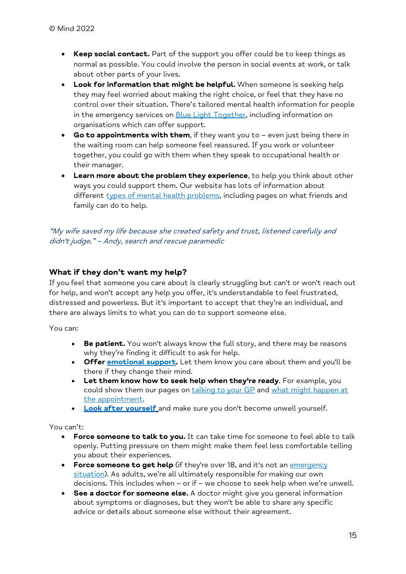- Keep social contact. Part of the support you offer could be to keep things as normal as possible. You could involve the person in social events at work, or talk about other parts of your lives.
- Look for information that might be helpful. When someone is seeking help they may feel worried about making the right choice, or feel that they have no control over their situation. There's tailored mental health information for people in the emergency services on **Blue Light Together**, including information on organisations which can offer support.
- Go to appointments with them, if they want you to  $-$  even just being there in the waiting room can help someone feel reassured. If you work or volunteer together, you could go with them when they speak to occupational health or their manager.
- Learn more about the problem they experience, to help you think about other ways you could support them. Our website has lots of information about different types of mental health problems, including pages on what friends and family can do to help.

"My wife saved my life because she created safety and trust, listened carefully and didn't judge." – Andy, search and rescue paramedic

# What if they don't want my help?

If you feel that someone you care about is clearly struggling but can't or won't reach out for help, and won't accept any help you offer, it's understandable to feel frustrated, distressed and powerless. But it's important to accept that they're an individual, and there are always limits to what you can do to support someone else.

You can:

- Be patient. You won't always know the full story, and there may be reasons why they're finding it difficult to ask for help.
- Offer **emotional support.** Let them know you care about them and you'll be there if they change their mind.
- Let them know how to seek help when they're ready. For example, you could show them our pages on talking to your GP and what might happen at the appointment.
- Look after vourself and make sure you don't become unwell yourself.

You can't:

- Force someone to talk to you. It can take time for someone to feel able to talk openly. Putting pressure on them might make them feel less comfortable telling you about their experiences.
- Force someone to get help (if they're over 18, and it's not an emergency situation). As adults, we're all ultimately responsible for making our own decisions. This includes when – or if – we choose to seek help when we're unwell.
- See a doctor for someone else. A doctor might give you general information about symptoms or diagnoses, but they won't be able to share any specific advice or details about someone else without their agreement.